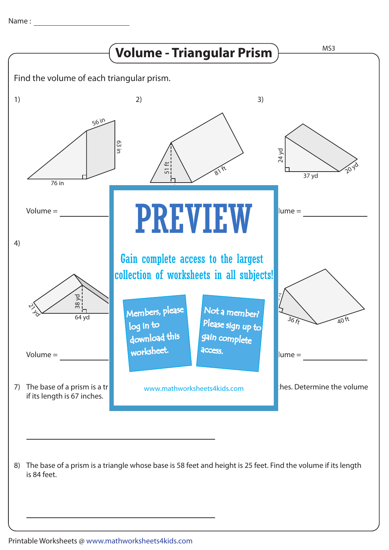